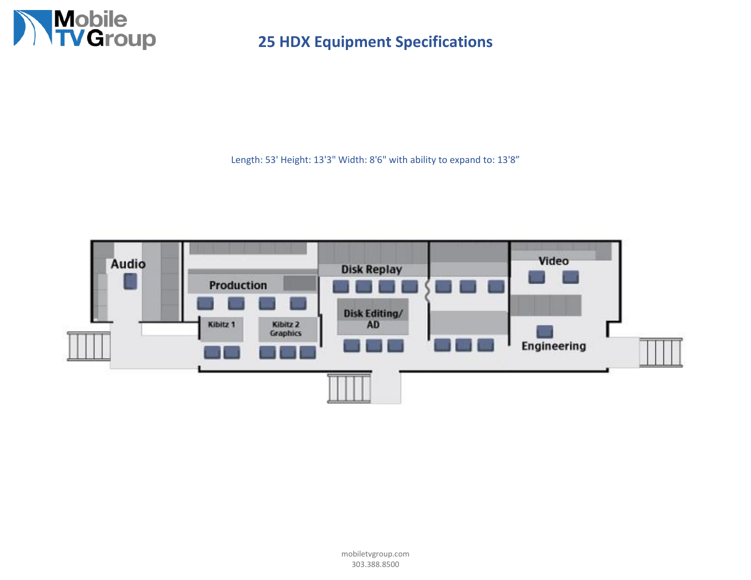

Length: 53' Height: 13'3" Width: 8'6" with ability to expand to: 13'8"